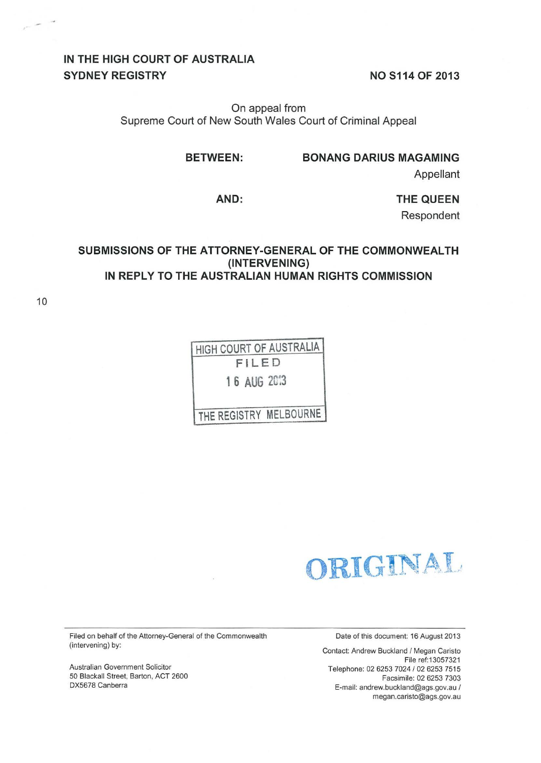# IN THE HIGH COURT OF AUSTRALIA SYDNEY REGISTRY

NO S114 OF 2013

On appeal from Supreme Court of New South Wales Court of Criminal Appeal

BETWEEN: BONANG DARIUS MAGAMING

Appellant

AND: THE QUEEN

Respondent

#### SUBMISSIONS OF THE ATTORNEY-GENERAL OF THE COMMONWEALTH (INTERVENING) IN REPLY TO THE AUSTRALIAN HUMAN RIGHTS COMMISSION

10

HIGH COURT OF AUSTRALIA FILED 1 6 AUG 2C:3

THE REGISTRY MELBOURNE

ORIGINAL

Filed on behalf of the Attorney-General of the Commonwealth (intervening) by:

Australian Government Solicitor 50 Blackall Street, Barton, ACT 2600 DX5678 Canberra

Date of this document: 16 August 2013

Contact: Andrew Buckland / Megan Caristo File ref:13057321 Telephone: 02 6253 7024 / 02 6253 7515 Facsimile: 02 6253 7303 E-mail: andrew.buckland@ags.gov.au / megan.caristo@ags.gov.au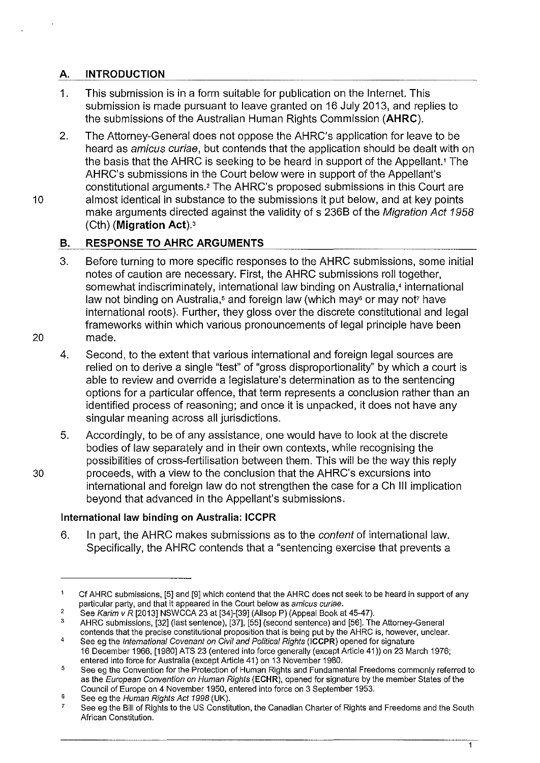# **A. INTRODUCTION**

- 1. This submission is in a form suitable for publication on the Internet. This submission is made pursuant to leave granted on 16 July 2013, and replies to the submissions of the Australian Human Rights Commission **(AHRC).**
- 2. The Attorney-General does not oppose the AHRC's application for leave to be heard as amicus curiae, but contends that the application should be dealt with on the basis that the AHRC is seeking to be heard in support of the Appellant.' The AHRC's submissions in the Court below were in support of the Appellant's constitutional arguments.' The AHRC's proposed submissions in this Court are 10 almost identical in substance to the submissions it put below, and at key points make arguments directed against the validity of s 236B of the Migration Act 1958 (Cth) **(Migration Act).>**

## **B. RESPONSE TO AHRC ARGUMENTS**

- 3. Before turning to more specific responses to the AHRC submissions, some initial notes of caution are necessary. First, the AHRC submissions roll together, somewhat indiscriminately, international law binding on Australia,<sup>4</sup> international law not binding on Australia,<sup>5</sup> and foreign law (which may<sup>6</sup> or may not<sup>7</sup> have international roots). Further, they gloss over the discrete constitutional and legal frameworks within which various pronouncements of legal principle have been 20 made.
	- 4. Second, to the extent that various international and foreign legal sources are relied on to derive a single "test" of "gross disproportionality" by which a court is able to review and override a legislature's determination as to the sentencing options for a particular offence, that term represents a conclusion rather than an identified process of reasoning; and once it is unpacked, it does not have any singular meaning across all jurisdictions.
- 5. Accordingly, to be of any assistance, one would have to look at the discrete bodies of law separately and in their own contexts, while recognising the possibilities of cross-fertilisation between them. This will be the way this reply 30 proceeds, with a view to the conclusion that the AHRC's excursions into international and foreign law do not strengthen the case for a Ch Ill implication beyond that advanced in the Appellant's submissions.

### **International law binding on Australia: ICCPR**

6. In part, the AHRC makes submissions as to the *content* of international law. Specifically, the AHRC contends that a "sentencing exercise that prevents a

 $\mathbf{1}$ 

<sup>1</sup> Cf AHRC submissions, [5] and [9] which contend that the AHRC does not seek to be heard in support of any particular party, and that it appeared in the Court below as amicus curiae.  $\overline{2}$ 

See Karim v R [2013] NSWCCA 23 at [34]-[39] (Allsop P) (Appeal Book at 45-47).

<sup>3</sup>  4 AHRC submissions, [32] (last sentence), [37], [55] (second sentence) and [56]. The Attorney-General contends that the precise constitutional proposition that is being put by the AHRC is, however, unclear. See eg the International Covenant on Civil and Political Rights (ICCPR) opened for signature

<sup>16</sup> December 1966, [1980] ATS 23 (entered into force generally (except Article 41)) on 23 March 1976; entered into force for Australia (except Article 41) on 13 November 1980.

<sup>5</sup>  See eg the Convention for the Protection of Human Rights and Fundamental Freedoms commonly referred to as the European Convention on Human Rights (ECHR), opened for signature by the member States of the Council of Europe on 4 November 1950, entered into force on 3 September 1953.

<sup>6</sup>  See eg the Human Rights Act 1998 (UK).

<sup>7</sup>  See eg the Bill of Rights to the US Constitution, the Canadian Charter of Rights and Freedoms and the South African Constitution.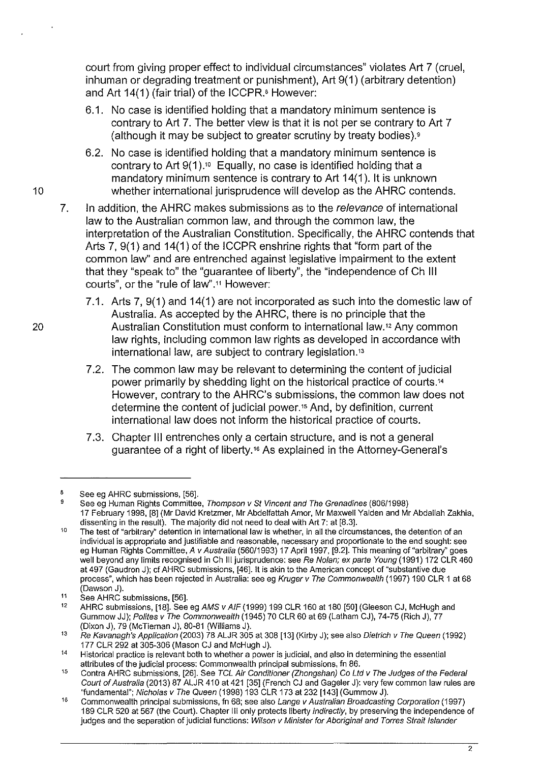court from giving proper effect to individual circumstances" violates Art 7 (cruel, inhuman or degrading treatment or punishment), Art 9(1) (arbitrary detention) and Art 14(1) (fair trial) of the ICCPR.• However:

- 6.1. No case is identified holding that a mandatory minimum sentence is contrary to Art 7. The better view is that it is not per se contrary to Art 7 (although it may be subject to greater scrutiny by treaty bodies).<sup>9</sup>
- 6.2. No case is identified holding that a mandatory minimum sentence is contrary to Art  $9(1)$ .<sup>10</sup> Equally, no case is identified holding that a mandatory minimum sentence is contrary to Art 14(1 ). It is unknown 10 whether international jurisprudence will develop as the AHRC contends.
	- 7. In addition, the AHRC makes submissions as to the *relevance* of international law to the Australian common law, and through the common law, the interpretation of the Australian Constitution. Specifically, the AHRC contends that Arts 7, 9(1) and 14(1) of the ICCPR enshrine rights that "form part of the common law" and are entrenched against legislative impairment to the extent that they "speak to" the "guarantee of liberty", the "independence of Ch Ill courts", or the "rule of law" .11 However:
- 7 .1. Arts 7, 9(1) and 14(1) are not incorporated as such into the domestic law of Australia. As accepted by the AHRC, there is no principle that the 20 Australian Constitution must conform to international law.<sup>12</sup> Any common law rights, including common law rights as developed in accordance with international law, are subject to contrary legislation. <sup>13</sup>
	- 7.2. The common law may be relevant to determining the content of judicial power primarily by shedding light on the historical practice of courts.<sup>14</sup> However, contrary to the AHRC's submissions, the common law does not determine the content of judicial power.<sup>15</sup> And, by definition, current international law does not inform the historical practice of courts.
	- 7.3. Chapter Ill entrenches only a certain structure, and is not a general guarantee of a right of liberty.<sup>16</sup> As explained in the Attorney-General's

<sup>8</sup>  See eg AHRC submissions, [56].

<sup>9</sup>  See eg Human Rights Committee, Thompson v St Vincent and The Grenadines (806/1998) 17 February 1998, [8] (Mr David Kretzmer, Mr Abdelfattah Amor, Mr Maxwell Yalden and Mr Abdallah Zakhia, dissenting in the result). The majority did not need to deal with Art 7: at [8.3].

<sup>10</sup>  The test of "arbitrary" detention in international law is whether, in all the circumstances, the detention of an individual is appropriate and justifiable and reasonable, necessary and proportionate to the end sought: see eg Human Rights Committee, A v Australia (56011993) 17 April 1997, [9.2]. This meaning of "arbitrary" goes well beyond any limits recognised in Ch III jurisprudence: see Re Nolan; ex parte Young (1991) 172 CLR 460 at 497 (Gaudron J); cf AHRC submissions, [46]. It is akin to the American concept of "substantive due process", which has been rejected in Australia: see eg Kruger v The Commonwealth (1997) 190 CLR 1 at 68 (Dawson J).

<sup>11</sup>  See AHRC submissions, [56].

<sup>12</sup>  AHRC submissions, [18]. See eg AMS v AIF (1999) 199 CLR 160 at 180 [50] (Gleeson CJ, McHugh and Gummow JJ); Polites v The Commonwealth (1945) 70 CLR 60 at 69 (Latham CJ), 74-75 (Rich J), 77 (Dixon J), 79 (McTiernan J), 80-81 (Williams J).

<sup>13</sup>  Re Kavanagh's Application (2003) 78 ALJR 305 at 308 [13] (Kirby J); see also Dietrich v The Queen (1992) 177 CLR 292 at 305-306 (Mason CJ and McHugh J).

<sup>14</sup>  Historical practice is relevant both to whether a power is judicial, and also in determining the essential attributes of the judicial process: Commonwealth principal submissions, fn 86.

<sup>15</sup>  Contra AHRC submissions, [26]. See TCL Air Conditioner (Zhongshan) Co Ltd v The Judges of the Federal Court of Australia (2013) 87 ALJR 410 at 421 [35] (French CJ and Gageler J): very few common law rules are "fundamental"; Nicholas v The Queen (1998) 193 CLR 173 at 232 [143] (Gummow J).

<sup>16</sup>  Commonwealth principal submissions, fn 68; see also Lange v Australian Broadcasting Corporation (1997) 189 CLR 520 at 567 (the Court). Chapter III only protects liberty indirectly, by preserving the independence of judges and the separation of judicial functions: Wilson v Minister for Aboriginal and Torres Strait Islander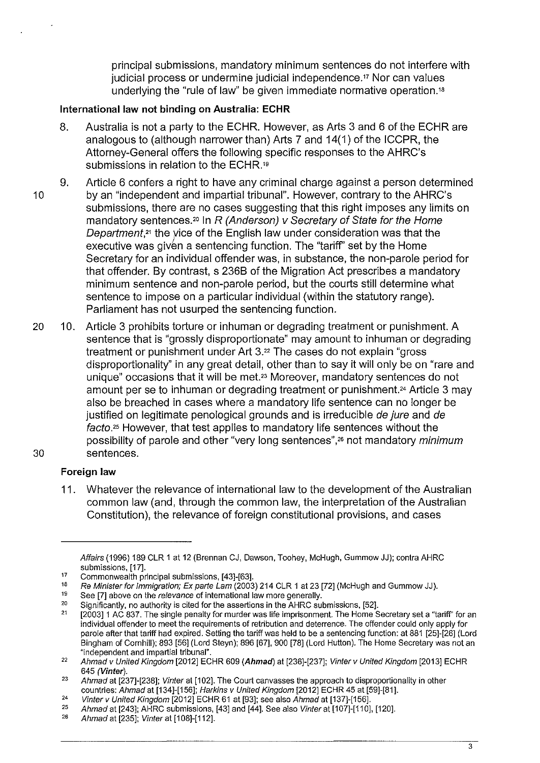principal submissions, mandatory minimum sentences do not interfere with judicial process or undermine judicial independence." Nor can values underlying the "rule of law'' be given immediate normative operation. <sup>18</sup>

### **International law not binding on Australia: ECHR**

- 8. Australia is not a party to the ECHR. However, as Arts 3 and 6 of the ECHR are analogous to (although narrower than) Arts 7 and 14(1) of the ICCPR, the Attorney-General offers the following specific responses to the AHRC's submissions in relation to the ECHR.<sup>19</sup>
- 9. Article 6 confers a right to have any criminal charge against a person determined 10 by an "independent and impartial tribunal". However, contrary to the AHRC's submissions, there are no cases suggesting that this right imposes any limits on mandatory sentences.<sup>20</sup> In R (Anderson) v Secretary of State for the Home Department,<sup>21</sup> the vice of the English law under consideration was that the executive was given a sentencing function. The "tariff" set by the Home Secretary for an individual offender was, in substance, the non-parole period for that offender. By contrast, s 2368 of the Migration Act prescribes a mandatory minimum sentence and non-parole period, but the courts still determine what sentence to impose on a particular individual (within the statutory range). Parliament has not usurped the sentencing function.
- 20 10. Article 3 prohibits torture or inhuman or degrading treatment or punishment. A sentence that is "grossly disproportionate" may amount to inhuman or degrading treatment or punishment under Art 3.<sup>22</sup> The cases do not explain "gross" disproportionality" in any great detail, other than to say it will only be on "rare and unique" occasions that it will be met.<sup>23</sup> Moreover, mandatory sentences do not amount per se to inhuman or degrading treatment or punishment.<sup>24</sup> Article 3 may also be breached in cases where a mandatory life sentence can no longer be justified on legitimate penological grounds and is irreducible de jure and de facto.<sup>25</sup> However, that test applies to mandatory life sentences without the possibility of parole and other "very long sentences",<sup>26</sup> not mandatory *minimum* 30 sentences.

### **Foreign law**

11. Whatever the relevance of international law to the development of the Australian common law (and, through the common law, the interpretation of the Australian Constitution), the relevance of foreign constitutional provisions, and cases

Affairs (1996) 189 CLR 1 at 12 (Brennan CJ, Dawson, Toohey, McHugh, Gummow JJ); contra AHRC submissions, [17].

<sup>17</sup>  Commonwealth principal submissions, [43]-[63].

<sup>18</sup>  Re Minister for Immigration; Ex parte Lam (2003) 214 CLR 1 at 23 [72] (McHugh and Gummow JJ).

<sup>19</sup>  See [7] above on the relevance of international law more generally.

<sup>20</sup>  Significantly, no authority is cited for the assertions in the AHRC submissions, [52].

<sup>21</sup>  [2003]1 AC 837. The single penalty for murder was life imprisonment. The Horne Secretary set a "tariff' for an individual offender to meet the requirements of retribution and deterrence. The offender could only apply for parole after that tariff had expired. Setting the tariff was held to be a sentencing function: at 881 [25]-[26] (Lord Bingham of Cornhill); 893 [56] (Lord Steyn); 896 [67], 900 [78] (Lord Hutton). The Home Secretary was not an "independent and impartial tribunal".

<sup>22</sup>  Ahmad v United Kingdom [2012] ECHR 609 (Ahmad) at [236]-[237]; Vinter v United Kingdom [2013] ECHR 645 (Vinter).

<sup>23</sup>  Ahmad at [237]-[238]; Vinter at [102]. The Court canvasses the approach to disproportionality in other countries: Ahmad at [134]-[156]; Harkins v United Kingdom [2012] ECHR 45 at [59]-[81].

<sup>24</sup>  Vinter v United Kingdom [2012] ECHR 61 at [93]; see also Ahmad at [137]-[156].

<sup>25</sup>  Ahmad at [243]; AHRC submissions, [43] and [44]. See also Vinter at [107]-[11 0], [120].

<sup>26</sup>  Ahmad at [235]; Vinter at [108]-[112].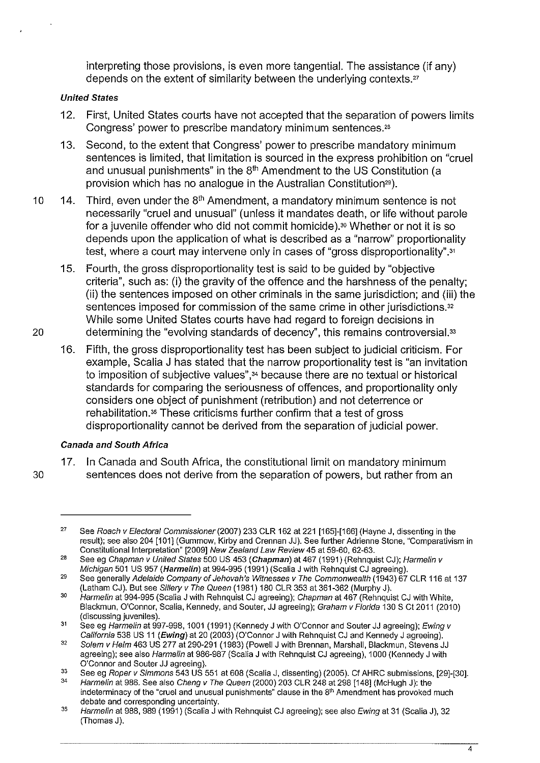interpreting those provisions, is even more tangential. The assistance (if any) depends on the extent of similarity between the underlying contexts.<sup>27</sup>

#### United States

- 12. First, United States courts have not accepted that the separation of powers limits Congress' power to prescribe mandatory minimum sentences."
- 13. Second, to the extent that Congress' power to prescribe mandatory minimum sentences is limited, that limitation is sourced in the express prohibition on "cruel and unusual punishments" in the 8<sup>th</sup> Amendment to the US Constitution (a provision which has no analogue in the Australian Constitution<sup>29</sup>).
- 10 14. Third, even under the  $8<sup>th</sup>$  Amendment, a mandatory minimum sentence is not necessarily "cruel and unusual" (unless it mandates death, or life without parole for a juvenile offender who did not commit homicide).<sup>30</sup> Whether or not it is so depends upon the application of what is described as a "narrow" proportionality test, where a court may intervene only in cases of "gross disproportionality".<sup>31</sup>
- 15. Fourth, the gross disproportionality test is said to be guided by "objective criteria", such as: (i) the gravity of the offence and the harshness of the penalty; (ii) the sentences imposed on other criminals in the same jurisdiction; and (iii) the sentences imposed for commission of the same crime in other jurisdictions.<sup>32</sup> While some United States courts have had regard to foreign decisions in 20 determining the "evolving standards of decency", this remains controversial.<sup>33</sup>
	- 16. Fifth, the gross disproportionality test has been subject to judicial criticism. For example, Scalia J has stated that the narrow proportionality test is "an invitation to imposition of subjective values",<sup>34</sup> because there are no textual or historical standards for comparing the seriousness of offences, and proportionality only considers one object of punishment (retribution) and not deterrence or rehabilitation.<sup>35</sup> These criticisms further confirm that a test of gross disproportionality cannot be derived from the separation of judicial power.

### Canada and South Africa

17. In Canada and South Africa, the constitutional limit on mandatory minimum 30 sentences does not derive from the separation of powers, but rather from an

<sup>27</sup>  See Roach v Electoral Commissioner (2007) 233 CLR 162 at 221 [165]-[166] (Hayne J, dissenting in the result); see also 204 [101] (Gummow, Kirby and Grennan JJ). See further Adrienne Stone, '"Comparativism in Constitutional Interpretation'" [2009] New Zealand Law Review 45 at 59-60, 62-63.

<sup>28</sup>  See eg *Chapman v United States* 500 US 453 (**Chapman**) at 467 (1991) (Rehnquist CJ); *Harmelin v* Michigan 501 US 957 (Harmelin) at 994-995 (1991) (Scalia J with Rehnquist CJ agreeing).

<sup>29</sup>  See generally Adelaide Company of Jehovah's Witnesses v The Commonwealth (1943) 67 CLR 116 at 137 (Latham CJ). But see Sil/ery v The Queen (1981) 180 CLR 353 at 361-362 (Murphy J).

<sup>30</sup>  Harmelin at 994-995 (Scalia J with Rehnquist CJ agreeing); Chapman at 467 (Rehnquist CJ with White, Blackmun, O'Connor, Scalia, Kennedy, and Souter, JJ agreeing); Graham v Florida 130 S Ct 2011 (2010) (discussing juveniles).

<sup>31</sup>  See eg Harmelin at 997-998, 1001 (1991) (Kennedy J with O'Connor and Souter JJ agreeing); Ewing v California 538 US 11 (Ewing) at 20 (2003) (O'Connor J with Rehnquist CJ and Kennedy J agreeing).

<sup>32</sup>  Solem v Helm 463 US 277 at 290-291 (1983) (Powell J with Brennan, Marshall, Blackmun, Stevens JJ agreeing); see also Harmelin at 986-987 (Scalia J with Rehnquist CJ agreeing), 1000 (Kennedy J with O'Connor and Souter JJ agreeing).

<sup>33</sup>  See eg Roper v Simmons 543 US 551 at 608 (Scalia J, dissenting) (2005). Cf AHRC submissions, [29]-[30].

<sup>34</sup>  Harmelin at 986. See also Cheng v The Queen (2000) 203 CLR 248 at 298 [148] (McHugh J): the indeterminacy of the "cruel and unusual punishments" clause in the 8<sup>th</sup> Amendment has provoked much debate and corresponding uncertainty.

<sup>35</sup>  Harmelin at 988, 989 (1991) (Scalia J with Rehnquist CJ agreeing); see also Ewing at 31 (Scalia J), 32 (Thomas J).